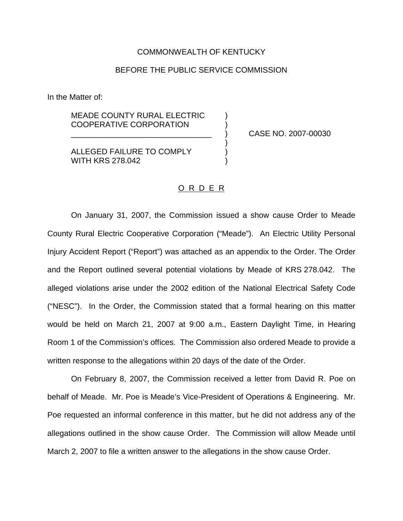## COMMONWEALTH OF KENTUCKY

## BEFORE THE PUBLIC SERVICE COMMISSION

In the Matter of:

MEADE COUNTY RURAL ELECTRIC COOPERATIVE CORPORATION )

\_\_\_\_\_\_\_\_\_\_\_\_\_\_\_\_\_\_\_\_\_\_\_\_\_\_\_\_\_\_\_\_ ) CASE NO. 2007-00030

**ALLEGED FAILURE TO COMPLY** WITH KRS 278.042

## O R D E R

)

On January 31, 2007, the Commission issued a show cause Order to Meade County Rural Electric Cooperative Corporation ("Meade"). An Electric Utility Personal Injury Accident Report ("Report") was attached as an appendix to the Order. The Order and the Report outlined several potential violations by Meade of KRS 278.042. The alleged violations arise under the 2002 edition of the National Electrical Safety Code ("NESC"). In the Order, the Commission stated that a formal hearing on this matter would be held on March 21, 2007 at 9:00 a.m., Eastern Daylight Time, in Hearing Room 1 of the Commission's offices. The Commission also ordered Meade to provide a written response to the allegations within 20 days of the date of the Order.

On February 8, 2007, the Commission received a letter from David R. Poe on behalf of Meade. Mr. Poe is Meade's Vice-President of Operations & Engineering. Mr. Poe requested an informal conference in this matter, but he did not address any of the allegations outlined in the show cause Order. The Commission will allow Meade until March 2, 2007 to file a written answer to the allegations in the show cause Order.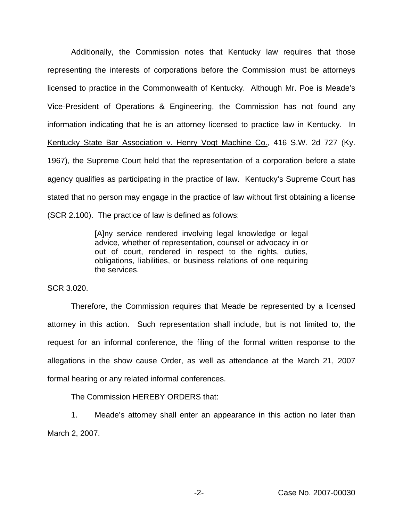Additionally, the Commission notes that Kentucky law requires that those representing the interests of corporations before the Commission must be attorneys licensed to practice in the Commonwealth of Kentucky. Although Mr. Poe is Meade's Vice-President of Operations & Engineering, the Commission has not found any information indicating that he is an attorney licensed to practice law in Kentucky. In Kentucky State Bar Association v. Henry Vogt Machine Co., 416 S.W. 2d 727 (Ky. 1967), the Supreme Court held that the representation of a corporation before a state agency qualifies as participating in the practice of law. Kentucky's Supreme Court has stated that no person may engage in the practice of law without first obtaining a license (SCR 2.100). The practice of law is defined as follows:

> [A]ny service rendered involving legal knowledge or legal advice, whether of representation, counsel or advocacy in or out of court, rendered in respect to the rights, duties, obligations, liabilities, or business relations of one requiring the services.

SCR 3.020.

Therefore, the Commission requires that Meade be represented by a licensed attorney in this action. Such representation shall include, but is not limited to, the request for an informal conference, the filing of the formal written response to the allegations in the show cause Order, as well as attendance at the March 21, 2007 formal hearing or any related informal conferences.

The Commission HEREBY ORDERS that:

1. Meade's attorney shall enter an appearance in this action no later than March 2, 2007.